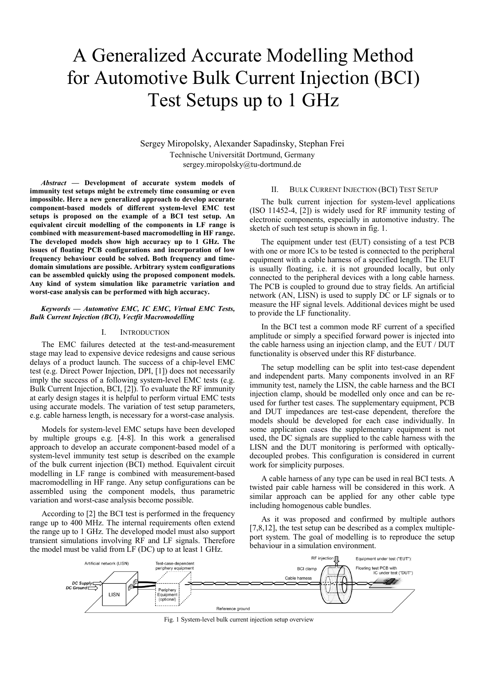# A Generalized Accurate Modelling Method for Automotive Bulk Current Injection (BCI) Test Setups up to 1 GHz

Sergey Miropolsky, Alexander Sapadinsky, Stephan Frei Technische Universität Dortmund, Germany sergey.miropolsky@tu-dortmund.de

*Abstract* **— Development of accurate system models of immunity test setups might be extremely time consuming or even impossible. Here a new generalized approach to develop accurate component-based models of different system-level EMC test setups is proposed on the example of a BCI test setup. An equivalent circuit modelling of the components in LF range is combined with measurement-based macromodelling in HF range. The developed models show high accuracy up to 1 GHz. The issues of floating PCB configurations and incorporation of low frequency behaviour could be solved. Both frequency and timedomain simulations are possible. Arbitrary system configurations can be assembled quickly using the proposed component models. Any kind of system simulation like parametric variation and worst-case analysis can be performed with high accuracy.**

## *Keywords — Automotive EMC, IC EMC, Virtual EMC Tests, Bulk Current Injection (BCI), Vectfit Macromodelling*

### I. INTRODUCTION

The EMC failures detected at the test-and-measurement stage may lead to expensive device redesigns and cause serious delays of a product launch. The success of a chip-level EMC test (e.g. Direct Power Injection, DPI, [1]) does not necessarily imply the success of a following system-level EMC tests (e.g. Bulk Current Injection, BCI, [2]). To evaluate the RF immunity at early design stages it is helpful to perform virtual EMC tests using accurate models. The variation of test setup parameters, e.g. cable harness length, is necessary for a worst-case analysis.

Models for system-level EMC setups have been developed by multiple groups e.g. [4-8]. In this work a generalised approach to develop an accurate component-based model of a system-level immunity test setup is described on the example of the bulk current injection (BCI) method. Equivalent circuit modelling in LF range is combined with measurement-based macromodelling in HF range. Any setup configurations can be assembled using the component models, thus parametric variation and worst-case analysis become possible.

According to [2] the BCI test is performed in the frequency range up to 400 MHz. The internal requirements often extend the range up to 1 GHz. The developed model must also support transient simulations involving RF and LF signals. Therefore the model must be valid from LF (DC) up to at least 1 GHz.

## II. BULK CURRENT INJECTION (BCI) TEST SETUP

The bulk current injection for system-level applications (ISO 11452-4, [2]) is widely used for RF immunity testing of electronic components, especially in automotive industry. The sketch of such test setup is shown in fig. 1.

The equipment under test (EUT) consisting of a test PCB with one or more ICs to be tested is connected to the peripheral equipment with a cable harness of a specified length. The EUT is usually floating, i.e. it is not grounded locally, but only connected to the peripheral devices with a long cable harness. The PCB is coupled to ground due to stray fields. An artificial network (AN, LISN) is used to supply DC or LF signals or to measure the HF signal levels. Additional devices might be used to provide the LF functionality.

In the BCI test a common mode RF current of a specified amplitude or simply a specified forward power is injected into the cable harness using an injection clamp, and the EUT / DUT functionality is observed under this RF disturbance.

The setup modelling can be split into test-case dependent and independent parts. Many components involved in an RF immunity test, namely the LISN, the cable harness and the BCI injection clamp, should be modelled only once and can be reused for further test cases. The supplementary equipment, PCB and DUT impedances are test-case dependent, therefore the models should be developed for each case individually. In some application cases the supplementary equipment is not used, the DC signals are supplied to the cable harness with the LISN and the DUT monitoring is performed with opticallydecoupled probes. This configuration is considered in current work for simplicity purposes.

A cable harness of any type can be used in real BCI tests. A twisted pair cable harness will be considered in this work. A similar approach can be applied for any other cable type including homogenous cable bundles.

As it was proposed and confirmed by multiple authors [7,8,12], the test setup can be described as a complex multipleport system. The goal of modelling is to reproduce the setup behaviour in a simulation environment.



Fig. 1 System-level bulk current injection setup overview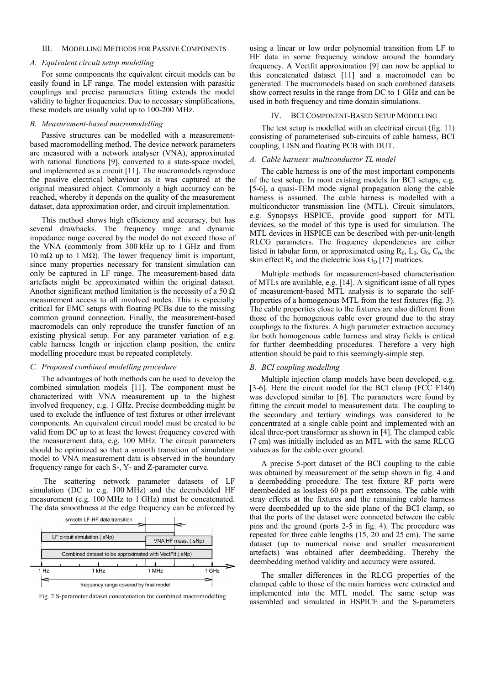# III. MODELLING METHODS FOR PASSIVE COMPONENTS

## *A. Equivalent circuit setup modelling*

For some components the equivalent circuit models can be easily found in LF range. The model extension with parasitic couplings and precise parameters fitting extends the model validity to higher frequencies. Due to necessary simplifications, these models are usually valid up to 100-200 MHz.

## *B. Measurement-based macromodelling*

Passive structures can be modelled with a measurementbased macromodelling method. The device network parameters are measured with a network analyser (VNA), approximated with rational functions [9], converted to a state-space model, and implemented as a circuit [11]. The macromodels reproduce the passive electrical behaviour as it was captured at the original measured object. Commonly a high accuracy can be reached, whereby it depends on the quality of the measurement dataset, data approximation order, and circuit implementation.

This method shows high efficiency and accuracy, but has several drawbacks. The frequency range and dynamic impedance range covered by the model do not exceed those of the VNA (commonly from 300 kHz up to 1 GHz and from 10 mΩ up to 1 MΩ). The lower frequency limit is important, since many properties necessary for transient simulation can only be captured in LF range. The measurement-based data artefacts might be approximated within the original dataset. Another significant method limitation is the necessity of a 50  $\Omega$ measurement access to all involved nodes. This is especially critical for EMC setups with floating PCBs due to the missing common ground connection. Finally, the measurement-based macromodels can only reproduce the transfer function of an existing physical setup. For any parameter variation of e.g. cable harness length or injection clamp position, the entire modelling procedure must be repeated completely.

# *C. Proposed combined modelling procedure*

The advantages of both methods can be used to develop the combined simulation models [11]. The component must be characterized with VNA measurement up to the highest involved frequency, e.g. 1 GHz. Precise deembedding might be used to exclude the influence of test fixtures or other irrelevant components. An equivalent circuit model must be created to be valid from DC up to at least the lowest frequency covered with the measurement data, e.g. 100 MHz. The circuit parameters should be optimized so that a smooth transition of simulation model to VNA measurement data is observed in the boundary frequency range for each S-, Y- and Z-parameter curve.

The scattering network parameter datasets of LF simulation (DC to e.g. 100 MHz) and the deembedded HF measurement (e.g. 100 MHz to 1 GHz) must be concatenated. The data smoothness at the edge frequency can be enforced by



using a linear or low order polynomial transition from LF to HF data in some frequency window around the boundary frequency. A Vectfit approximation [9] can now be applied to this concatenated dataset [11] and a macromodel can be generated. The macromodels based on such combined datasets show correct results in the range from DC to 1 GHz and can be used in both frequency and time domain simulations.

#### IV. BCI COMPONENT-BASED SETUP MODELLING

The test setup is modelled with an electrical circuit (fig. 11) consisting of parameterised sub-circuits of cable harness, BCI coupling, LISN and floating PCB with DUT.

# *A. Cable harness: multiconductor TL model*

The cable harness is one of the most important components of the test setup. In most existing models for BCI setups, e.g. [5-6], a quasi-TEM mode signal propagation along the cable harness is assumed. The cable harness is modelled with a multiconductor transmission line (MTL). Circuit simulators, e.g. Synopsys HSPICE, provide good support for MTL devices, so the model of this type is used for simulation. The MTL devices in HSPICE can be described with per-unit-length RLCG parameters. The frequency dependencies are either listed in tabular form, or approximated using  $R_0$ ,  $L_0$ ,  $G_0$ ,  $C_0$ , the skin effect  $R<sub>S</sub>$  and the dielectric loss  $G<sub>D</sub>$  [17] matrices.

Multiple methods for measurement-based characterisation of MTLs are available, e.g. [14]. A significant issue of all types of measurement-based MTL analysis is to separate the selfproperties of a homogenous MTL from the test fixtures (fig. 3). The cable properties close to the fixtures are also different from those of the homogenous cable over ground due to the stray couplings to the fixtures. A high parameter extraction accuracy for both homogenous cable harness and stray fields is critical for further deembedding procedures. Therefore a very high attention should be paid to this seemingly-simple step.

# *B. BCI coupling modelling*

Multiple injection clamp models have been developed, e.g. [3-6]. Here the circuit model for the BCI clamp (FCC F140) was developed similar to [6]. The parameters were found by fitting the circuit model to measurement data. The coupling to the secondary and tertiary windings was considered to be concentrated at a single cable point and implemented with an ideal three-port transformer as shown in [4]. The clamped cable (7 cm) was initially included as an MTL with the same RLCG values as for the cable over ground.

A precise 5-port dataset of the BCI coupling to the cable was obtained by measurement of the setup shown in fig. 4 and a deembedding procedure. The test fixture RF ports were deembedded as lossless 60 ps port extensions. The cable with stray effects at the fixtures and the remaining cable harness were deembedded up to the side plane of the BCI clamp, so that the ports of the dataset were connected between the cable pins and the ground (ports 2-5 in fig. 4). The procedure was repeated for three cable lengths (15, 20 and 25 cm). The same dataset (up to numerical noise and smaller measurement artefacts) was obtained after deembedding. Thereby the deembedding method validity and accuracy were assured.

The smaller differences in the RLCG properties of the clamped cable to those of the main harness were extracted and implemented into the MTL model. The same setup was Fig. 2 S-parameter dataset concatenation for combined macromodelling<br>assembled and simulated in HSPICE and the S-parameters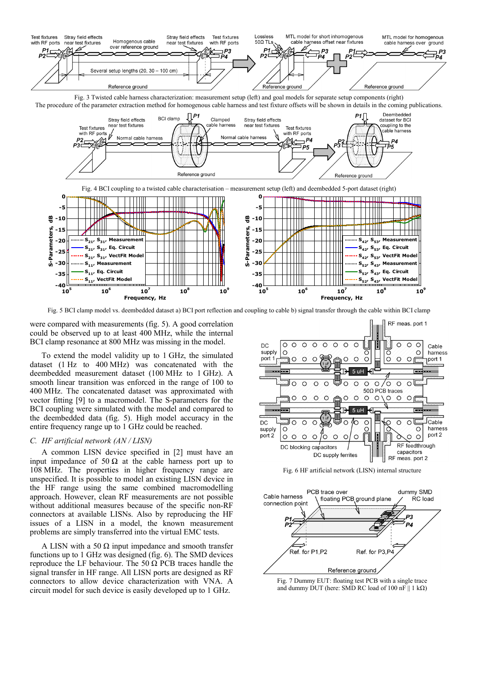

Fig. 3 Twisted cable harness characterization: measurement setup (left) and goal models for separate setup components (right) The procedure of the parameter extraction method for homogenous cable harness and test fixture offsets will be shown in details in the coming publications.



Fig. 5 BCI clamp model vs. deembedded dataset a) BCI port reflection and coupling to cable b) signal transfer through the cable within BCI clamp

were compared with measurements (fig. 5). A good correlation could be observed up to at least 400 MHz, while the internal BCI clamp resonance at 800 MHz was missing in the model.

To extend the model validity up to 1 GHz, the simulated dataset (1 Hz to 400 MHz) was concatenated with the deembedded measurement dataset (100 MHz to 1 GHz). A smooth linear transition was enforced in the range of 100 to 400 MHz. The concatenated dataset was approximated with vector fitting [9] to a macromodel. The S-parameters for the BCI coupling were simulated with the model and compared to the deembedded data (fig. 5). High model accuracy in the entire frequency range up to 1 GHz could be reached.

# *C. HF artificial network (AN / LISN)*

A common LISN device specified in [2] must have an input impedance of 50  $\Omega$  at the cable harness port up to 108 MHz. The properties in higher frequency range are unspecified. It is possible to model an existing LISN device in the HF range using the same combined macromodelling approach. However, clean RF measurements are not possible without additional measures because of the specific non-RF connectors at available LISNs. Also by reproducing the HF issues of a LISN in a model, the known measurement problems are simply transferred into the virtual EMC tests.

A LISN with a 50  $\Omega$  input impedance and smooth transfer functions up to 1 GHz was designed (fig. 6). The SMD devices reproduce the LF behaviour. The 50  $\Omega$  PCB traces handle the signal transfer in HF range. All LISN ports are designed as RF connectors to allow device characterization with VNA. A circuit model for such device is easily developed up to 1 GHz.



Fig. 6 HF artificial network (LISN) internal structure



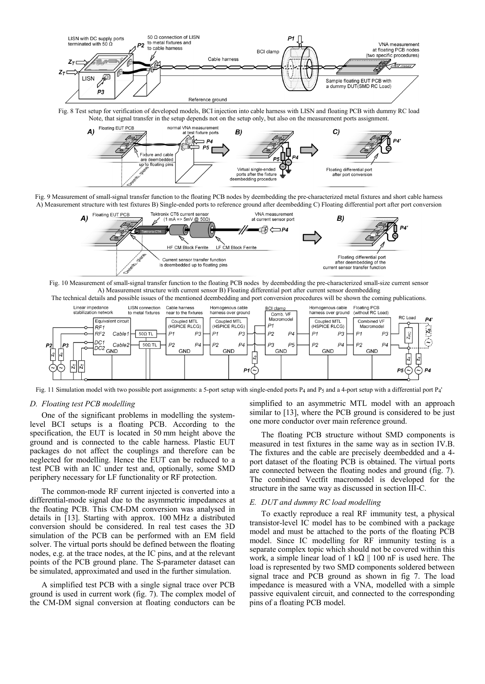

Fig. 8 Test setup for verification of developed models, BCI injection into cable harness with LISN and floating PCB with dummy RC load



Fig. 9 Measurement of small-signal transfer function to the floating PCB nodes by deembedding the pre-characterized metal fixtures and short cable harness A) Measurement structure with test fixtures B) Single-ended ports to reference ground after deembedding C) Floating differential port after port conversion



Fig. 10 Measurement of small-signal transfer function to the floating PCB nodes by deembedding the pre-characterized small-size current sensor A) Measurement structure with current sensor B) Floating differential port after current sensor deembedding The technical details and possible issues of the mentioned deembedding and port conversion procedures will be shown the coming publications.



Fig. 11 Simulation model with two possible port assignments: a 5-port setup with single-ended ports  $P_4$  and  $P_5$  and a 4-port setup with a differential port  $P_4$ '

## *D. Floating test PCB modelling*

One of the significant problems in modelling the systemlevel BCI setups is a floating PCB. According to the specification, the EUT is located in 50 mm height above the ground and is connected to the cable harness. Plastic EUT packages do not affect the couplings and therefore can be neglected for modelling. Hence the EUT can be reduced to a test PCB with an IC under test and, optionally, some SMD periphery necessary for LF functionality or RF protection.

The common-mode RF current injected is converted into a differential-mode signal due to the asymmetric impedances at the floating PCB. This CM-DM conversion was analysed in details in [13]. Starting with approx. 100 MHz a distributed conversion should be considered. In real test cases the 3D simulation of the PCB can be performed with an EM field solver. The virtual ports should be defined between the floating nodes, e.g. at the trace nodes, at the IC pins, and at the relevant points of the PCB ground plane. The S-parameter dataset can be simulated, approximated and used in the further simulation.

A simplified test PCB with a single signal trace over PCB ground is used in current work (fig. 7). The complex model of the CM-DM signal conversion at floating conductors can be

simplified to an asymmetric MTL model with an approach similar to [13], where the PCB ground is considered to be just one more conductor over main reference ground.

The floating PCB structure without SMD components is measured in test fixtures in the same way as in section IV.B. The fixtures and the cable are precisely deembedded and a 4 port dataset of the floating PCB is obtained. The virtual ports are connected between the floating nodes and ground (fig. 7). The combined Vectfit macromodel is developed for the structure in the same way as discussed in section III-C.

# *E. DUT and dummy RC load modelling*

To exactly reproduce a real RF immunity test, a physical transistor-level IC model has to be combined with a package model and must be attached to the ports of the floating PCB model. Since IC modelling for RF immunity testing is a separate complex topic which should not be covered within this work, a simple linear load of 1 k $\Omega$  || 100 nF is used here. The load is represented by two SMD components soldered between signal trace and PCB ground as shown in fig 7. The load impedance is measured with a VNA, modelled with a simple passive equivalent circuit, and connected to the corresponding pins of a floating PCB model.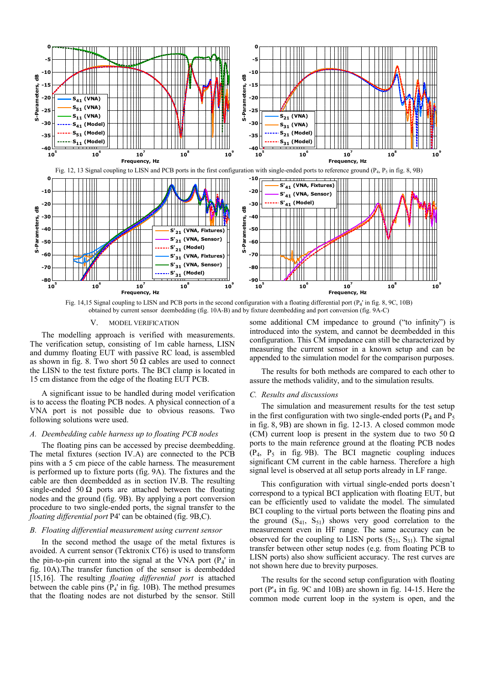

Fig. 14,15 Signal coupling to LISN and PCB ports in the second configuration with a floating differential port  $(P_4)$  in fig. 8, 9C, 10B) obtained by current sensor deembedding (fig. 10A-B) and by fixture deembedding and port conversion (fig. 9A-C)

#### V. MODEL VERIFICATION

The modelling approach is verified with measurements. The verification setup, consisting of 1m cable harness, LISN and dummy floating EUT with passive RC load, is assembled as shown in fig. 8. Two short 50  $\Omega$  cables are used to connect the LISN to the test fixture ports. The BCI clamp is located in 15 cm distance from the edge of the floating EUT PCB.

A significant issue to be handled during model verification is to access the floating PCB nodes. A physical connection of a VNA port is not possible due to obvious reasons. Two following solutions were used.

## *A. Deembedding cable harness up to floating PCB nodes*

The floating pins can be accessed by precise deembedding. The metal fixtures (section IV.A) are connected to the PCB pins with a 5 cm piece of the cable harness. The measurement is performed up to fixture ports (fig. 9A). The fixtures and the cable are then deembedded as in section IV.B. The resulting single-ended 50  $\Omega$  ports are attached between the floating nodes and the ground (fig. 9B). By applying a port conversion procedure to two single-ended ports, the signal transfer to the *floating differential port* P4' can be obtained (fig. 9B,C).

#### *B. Floating differential measurement using current sensor*

In the second method the usage of the metal fixtures is avoided. A current sensor (Tektronix CT6) is used to transform the pin-to-pin current into the signal at the VNA port  $(P_4)$  in fig. 10A).The transfer function of the sensor is deembedded [15,16]. The resulting *floating differential port* is attached between the cable pins  $(P_4'$  in fig. 10B). The method presumes that the floating nodes are not disturbed by the sensor. Still

some additional CM impedance to ground ("to infinity") is introduced into the system, and cannot be deembedded in this configuration. This CM impedance can still be characterized by measuring the current sensor in a known setup and can be appended to the simulation model for the comparison purposes.

The results for both methods are compared to each other to assure the methods validity, and to the simulation results.

# *C. Results and discussions*

The simulation and measurement results for the test setup in the first configuration with two single-ended ports ( $P_4$  and  $P_5$ ) in fig. 8, 9B) are shown in fig. 12-13. A closed common mode (CM) current loop is present in the system due to two 50  $\Omega$ ports to the main reference ground at the floating PCB nodes  $(P_4, P_5$  in fig. 9B). The BCI magnetic coupling induces significant CM current in the cable harness. Therefore a high signal level is observed at all setup ports already in LF range.

This configuration with virtual single-ended ports doesn't correspond to a typical BCI application with floating EUT, but can be efficiently used to validate the model. The simulated BCI coupling to the virtual ports between the floating pins and the ground  $(S_{41}, S_{51})$  shows very good correlation to the measurement even in HF range. The same accuracy can be observed for the coupling to LISN ports  $(S_{21}, S_{31})$ . The signal transfer between other setup nodes (e.g. from floating PCB to LISN ports) also show sufficient accuracy. The rest curves are not shown here due to brevity purposes.

The results for the second setup configuration with floating port (P'4 in fig. 9С and 10B) are shown in fig. 14-15. Here the common mode current loop in the system is open, and the